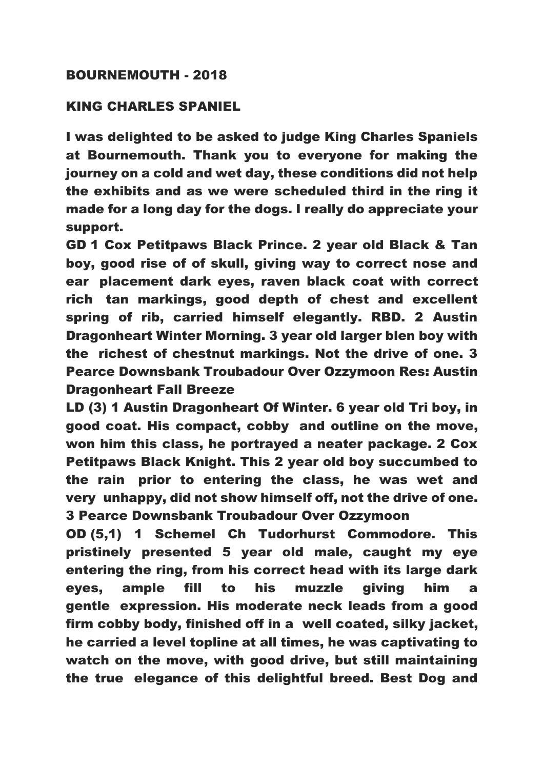## BOURNEMOUTH - 2018

## KING CHARLES SPANIEL

I was delighted to be asked to judge King Charles Spaniels at Bournemouth. Thank you to everyone for making the journey on a cold and wet day, these conditions did not help the exhibits and as we were scheduled third in the ring it made for a long day for the dogs. I really do appreciate your support.

GD 1 Cox Petitpaws Black Prince. 2 year old Black & Tan boy, good rise of of skull, giving way to correct nose and ear placement dark eyes, raven black coat with correct rich tan markings, good depth of chest and excellent spring of rib, carried himself elegantly. RBD. 2 Austin Dragonheart Winter Morning. 3 year old larger blen boy with the richest of chestnut markings. Not the drive of one. 3 Pearce Downsbank Troubadour Over Ozzymoon Res: Austin Dragonheart Fall Breeze

LD (3) 1 Austin Dragonheart Of Winter. 6 year old Tri boy, in good coat. His compact, cobby and outline on the move, won him this class, he portrayed a neater package. 2 Cox Petitpaws Black Knight. This 2 year old boy succumbed to the rain prior to entering the class, he was wet and very unhappy, did not show himself off, not the drive of one. 3 Pearce Downsbank Troubadour Over Ozzymoon

OD (5,1) 1 Schemel Ch Tudorhurst Commodore. This pristinely presented 5 year old male, caught my eye entering the ring, from his correct head with its large dark eyes, ample fill to his muzzle giving him a gentle expression. His moderate neck leads from a good firm cobby body, finished off in a well coated, silky jacket, he carried a level topline at all times, he was captivating to watch on the move, with good drive, but still maintaining the true elegance of this delightful breed. Best Dog and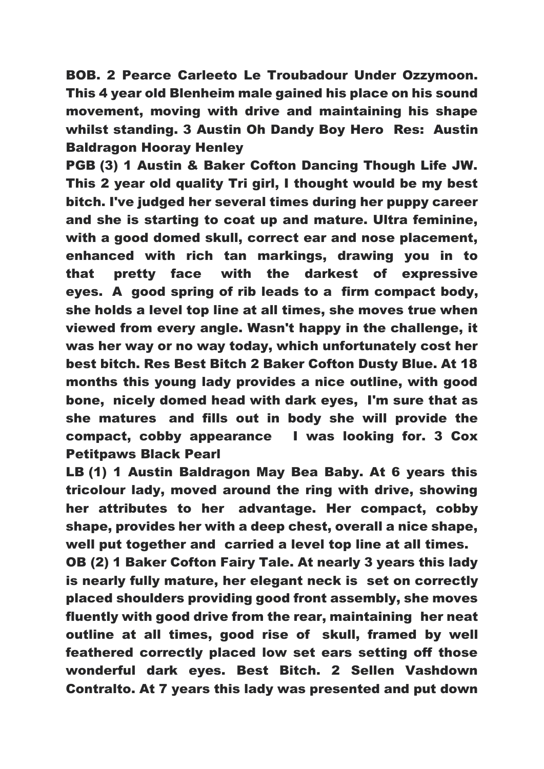BOB. 2 Pearce Carleeto Le Troubadour Under Ozzymoon. This 4 year old Blenheim male gained his place on his sound movement, moving with drive and maintaining his shape whilst standing. 3 Austin Oh Dandy Boy Hero Res: Austin Baldragon Hooray Henley

PGB (3) 1 Austin & Baker Cofton Dancing Though Life JW. This 2 year old quality Tri girl, I thought would be my best bitch. I've judged her several times during her puppy career and she is starting to coat up and mature. Ultra feminine, with a good domed skull, correct ear and nose placement, enhanced with rich tan markings, drawing you in to that pretty face with the darkest of expressive eyes. A good spring of rib leads to a firm compact body, she holds a level top line at all times, she moves true when viewed from every angle. Wasn't happy in the challenge, it was her way or no way today, which unfortunately cost her best bitch. Res Best Bitch 2 Baker Cofton Dusty Blue. At 18 months this young lady provides a nice outline, with good bone, nicely domed head with dark eyes, I'm sure that as she matures and fills out in body she will provide the compact, cobby appearance I was looking for. 3 Cox Petitpaws Black Pearl

LB (1) 1 Austin Baldragon May Bea Baby. At 6 years this tricolour lady, moved around the ring with drive, showing her attributes to her advantage. Her compact, cobby shape, provides her with a deep chest, overall a nice shape, well put together and carried a level top line at all times.

OB (2) 1 Baker Cofton Fairy Tale. At nearly 3 years this lady is nearly fully mature, her elegant neck is set on correctly placed shoulders providing good front assembly, she moves fluently with good drive from the rear, maintaining her neat outline at all times, good rise of skull, framed by well feathered correctly placed low set ears setting off those wonderful dark eyes. Best Bitch. 2 Sellen Vashdown Contralto. At 7 years this lady was presented and put down